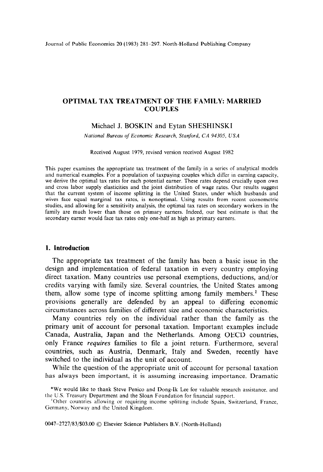# OPTIMAL TAX TREATMENT OF THE FAMILY: MARRIED **COUPLES**

# Michael J. BOSKIN and Eytan SHESHINSKI

*National Bureau of Economic Research, Stanford, CA 94305, USA* 

Received August 1979, revised version received August 1982

This paper examines the appropriate tax treatment of the family in a series of analytical models and numerical examples. For a population of taxpaying couples which differ m earning capacity, we derive the optimal tax rates for each potential earner. These rates depend crucially upon own and cross labor supply elasticities and the joint distribution of wage rates. Our results suggest that the current system of income splitting in the United States, under which husbands and wives face equal marginal tax rates, is nonoptimal. Using results from recent econometric studies, and allowing for a sensitivity analysis, the optimal tax rates on secondary workers in the family are much lower than those on primary earners. Indeed, our best estimate is that the secondary earner would face tax rates only one-half as high as primary earners.

## **1. Introduction**

The appropriate tax treatment of the family has been a basic issue in the design and implementation of federal taxation in every country employing direct taxation. Many countries use personal exemptions, deductions, and/or credits varying with family size. Several countries, the United States among them, allow some type of income splitting among family members.' These provisions generally are defended by an appeal to differing economic circumstances across families of different size and economic characteristics.

Many countries rely on the individual rather than the family as the primary unit of account for personal taxation. Important examples include Canada, Australia, Japan and the Netherlands. Among OECD countries, only France *requires* families to file a joint return. Furthermore, several countries, such as Austria, Denmark, Italy and Sweden, recently have switched to the individual as the unit of account.

While the question of the appropriate unit of account for personal taxation has always been important, it is assuming increasing importance. Dramatic

0047-2727/83/\$03.00 0 Elsevier Science Publishers B.V. (North-Holland)

<sup>\*</sup>We would like to thank Steve Penico and Dong-Ik Lee for valuable research assistance, and the U.S. Treasury Department and the Sloan Foundation for financial support.

<sup>&#</sup>x27;Other countries allowing or requiring income splitting include Spain, Switzerland, France, Germany, Norway and the United Kingdom.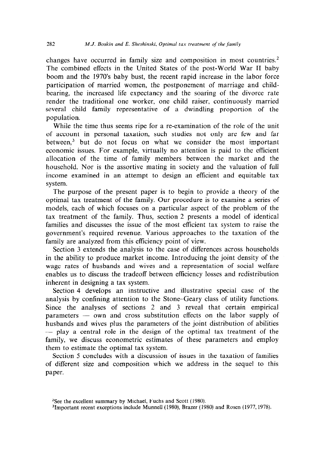changes have occurred in family size and composition in most countries.<sup>2</sup> The combined effects in the United States of the post-World War II baby boom and the 1970's baby bust, the recent rapid increase in the labor force participation of married women, the postponement of marriage and childbearing, the increased life expectancy and the soaring of the divorce rate render the traditional one worker, one child raiser, continuously married several child family representative of a dwindling proportion of the population.

While the time thus seems ripe for a re-examination of the role of the unit of account in personal taxation, such studies not only are few and far between, $3$  but do not focus on what we consider the most important economic issues. For example, virtually no attention is paid to the efficient allocation of the time of family members between the market and the household. Nor is the assortive mating in society and the valuation of full income examined in an attempt to design an efficient and equitable tax system.

The purpose of the present paper is to begin to provide a theory of the optimal tax treatment of the family. Our procedure is to examine a series of models, each of which focuses on a particular aspect of the problem of the tax treatment of the family. Thus, section 2 presents a model of identical families and discusses the issue of the most efficient tax system to raise the government's required revenue. Various approaches to the taxation of the family are analyzed from this efficiency point of view.

Section 3 extends the analysis to the case of differences across households in the ability to produce market income. Introducing the joint density of the wage rates of husbands and wives and a representation of social welfare enables us to discuss the tradeoff between efficiency losses and redistribution inherent in designing a tax system.

Section 4 develops an instructive and illustrative special case of the analysis by confining attention to the Stone-Geary class of utility functions. Since the analyses of sections 2 and 3 reveal that certain empirical parameters - own and cross substitution effects on the labor supply of husbands and wives plus the parameters of the joint distribution of abilities - play a central role in the design of the optimal tax treatment of the family, we discuss econometric estimates of these parameters and employ them to estimate the optimal tax system.

Section 5 concludes with a discussion of issues in the taxation of families of different size and composition which we address in the sequel to this paper.

<sup>&</sup>lt;sup>2</sup>See the excellent summary by Michael, Fuchs and Scott (1980).

<sup>&</sup>lt;sup>3</sup>Important recent exceptions include Munnell (1980), Brazer (1980) and Rosen (1977, 1978).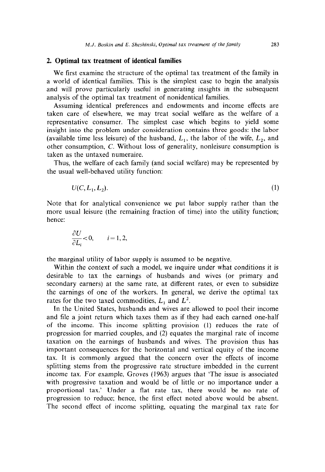# **2. Optimal tax treatment of identical families**

We first examine the structure of the optimal tax treatment of the family in a world of identical families. This is the simplest case to begin the analysis and will prove particularly useful in generating insights in the subsequent analysis of the optimal tax treatment of nonidentical families.

Assuming identical preferences and endowments and income effects are taken care of elsewhere, we may treat social welfare as the welfare of a representative consumer. The simplest case which begins to yield some insight into the problem under consideration contains three goods: the labor (available time less leisure) of the husband,  $L_1$ , the labor of the wife,  $L_2$ , and other consumption, C. Without loss of generality, nonleisure consumption is taken as the untaxed numeraire.

Thus, the welfare of each family (and social welfare) may be represented by the usual well-behaved utility function:

$$
U(C, L_1, L_2). \tag{1}
$$

Note that for analytical convenience we put labor supply rather than the more usual leisure (the remaining fraction of time) into the utility function; hence:

$$
\frac{\partial U}{\partial L_i} < 0, \qquad i = 1, 2,
$$

the marginal utility of labor supply is assumed to be negative.

Within the context of such a model, we inquire under what conditions it is desirable to tax the earnings of husbands and wives (or primary and secondary earners) at the same rate, at different rates, or even to subsidize the earnings of one of the workers. In general, we derive the optimal tax rates for the two taxed commodities,  $L_1$  and  $L^2$ .

In the United States, husbands and wives are allowed to pool their income and file a joint return which taxes them as if they had each earned one-half of the income. This income splitting provision (1) reduces the rate of progression for married couples, and (2) equates the marginal rate of income taxation on the earnings of husbands and wives. The provision thus has important consequences for the horizontal and vertical equity of the income tax. It is commonly argued that the concern over the effects of income splitting stems from the progressive rate structure imbedded in the current income tax. For example, Groves (1963) argues that 'The issue is associated with progressive taxation and would be of little or no importance under a proportional tax.' Under a flat rate tax, there would be no rate of progression to reduce; hence, the first effect noted above would be absent. The second effect of income splitting, equating the marginal tax rate for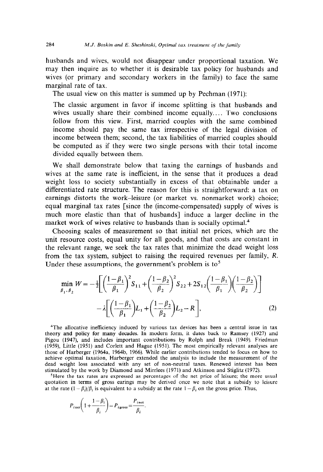husbands and wives, would not disappear under proportional taxation. We may then inquire as to whether it is desirable tax policy for husbands and wives (or primary and secondary workers in the family) to face the same marginal rate of tax.

The usual view on this matter is summed up by Pechman (1971):

The classic argument in favor if income splitting is that husbands and wives usually share their combined income equally.... Two conclusions follow from this view. First, married couples with the same combined income should pay the same tax irrespective of the legal division of income between them; second, the tax liabilities of married couples should be computed as if they were two single persons with their total income divided equally between them.

We shall demonstrate below that taxing the earnings of husbands and wives at the same rate is inefficient, in the sense that it produces a dead weight loss to society substantially in excess of that obtainable under a differentiated rate structure. The reason for this is straightforward: a tax on earnings distorts the work-leisure (or market vs. nonmarket work) choice; equal marginal tax rates [since the (income-compensated) supply of wives is much more elastic than that of husbands] induce a larger decline in the market work of wives relative to husbands than is socially optimal.<sup>4</sup>

Choosing scales of measurement so that initial net prices, which are the unit resource costs, equal unity for all goods, and that costs are constant in the relevant range, we seek the tax rates that minimize the dead weight loss from the tax system, subject to raising the required revenues per family, *R.*  Under these assumptions, the government's problem is  $\mathfrak{to}^5$ 

$$
\min_{\beta_1, \beta_2} W = -\frac{1}{2} \left[ \left( \frac{1 - \beta_1}{\beta_1} \right)^2 S_{11} + \left( \frac{1 - \beta_2}{\beta_2} \right)^2 S_{22} + 2S_{12} \left( \frac{1 - \beta_1}{\beta_1} \right) \left( \frac{1 - \beta_2}{\beta_2} \right) \right] \n- \lambda \left[ \left( \frac{1 - \beta_1}{\beta_1} \right) L_1 + \left( \frac{1 - \beta_2}{\beta_2} \right) L_2 - R \right],
$$
\n(2)

4The allocative inefficiency induced by various tax devices has been a central issue in tax theory and policy for many decades. In modern form, it dates back to Ramsey (1927) and Pigou (1947), and includes important contributions by Rolph and Break (1949). Friedman (1959), Little (1951) and Corlett and Hague (1951). The most empirically relevant analyses are those of Harberger (1964a, 1964b, 1966). While earlier contributions tended to focus on how to achieve optimal taxation, Harberger extended the analysis to include the measurement of the dead weight loss associated with any set of non-neutral taxes. Renewed interest has been stimulated bv the work bv Diamond and Mirrlees (1971) and Atkinson and Stielitz (1972).

 $5$ Here the tax rates are expressed as percentages of the net price of leisure; the more usual quotation in terms of gross earings may be derived once we note that a subsidy to leisure at the rate  $(1 - \beta_i)/\beta_i$  is equivalent to a subsidy at the rate  $1 - \beta_i$  on the gross price. Thus,

$$
P_{i\,\text{net}}\bigg(1+\frac{1-\beta_i}{\beta_i}\bigg) = P_{i\,\text{gross}} = \frac{P_{i\,\text{net}}}{\beta_i}.
$$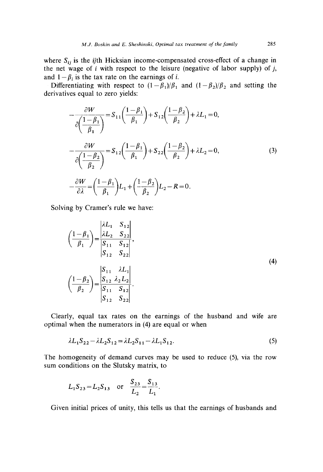where  $S_{ij}$  is the *ij*th Hicksian income-compensated cross-effect of a change in the net wage of  $i$  with respect to the leisure (negative of labor supply) of  $j$ , and  $1 - \beta_i$  is the tax rate on the earnings of *i*.

Differentiating with respect to  $(1 - \beta_1)/\beta_1$  and  $(1 - \beta_2)/\beta_2$  and setting the derivatives equal to zero yields:

$$
-\frac{\partial W}{\partial \left(\frac{1-\beta_1}{\beta_1}\right)} = S_{11}\left(\frac{1-\beta_1}{\beta_1}\right) + S_{12}\left(\frac{1-\beta_2}{\beta_2}\right) + \lambda L_1 = 0,
$$
  

$$
-\frac{\partial W}{\partial \left(\frac{1-\beta_2}{\beta_2}\right)} = S_{12}\left(\frac{1-\beta_1}{\beta_1}\right) + S_{22}\left(\frac{1-\beta_2}{\beta_2}\right) + \lambda L_2 = 0,
$$
  

$$
-\frac{\partial W}{\partial \lambda} = \left(\frac{1-\beta_1}{\beta_1}\right)L_1 + \left(\frac{1-\beta_2}{\beta_2}\right)L_2 - R = 0.
$$
 (3)

Solving by Cramer's rule we have:

$$
\left(\frac{1-\beta_1}{\beta_1}\right) = \frac{\begin{vmatrix} \lambda L_1 & S_{12} \\ \lambda L_2 & S_{22} \end{vmatrix}}{\begin{vmatrix} S_{11} & S_{12} \\ S_{12} & S_{22} \end{vmatrix}},
$$
\n
$$
\left(\frac{1-\beta_2}{\beta_2}\right) = \frac{\begin{vmatrix} S_{11} & \lambda L_1 \\ S_{12} & \lambda_2 L_2 \end{vmatrix}}{\begin{vmatrix} S_{11} & S_{12} \\ S_{12} & S_{22} \end{vmatrix}}.
$$
\n(4)

Clearly, equal tax rates on the earnings of the husband and wife are optimal when the numerators in (4) are equal or when

$$
\lambda L_1 S_{22} - \lambda L_2 S_{12} = \lambda L_2 S_{11} - \lambda L_1 S_{12}.
$$
\n(5)

The homogeneity of demand curves may be used to reduce (5), via the row sum conditions on the Slutsky matrix, to

$$
L_1 S_{23} = L_2 S_{13}
$$
 or  $\frac{S_{23}}{L_2} = \frac{S_{13}}{L_1}$ .

Given initial prices of unity, this tells us that the earnings of husbands and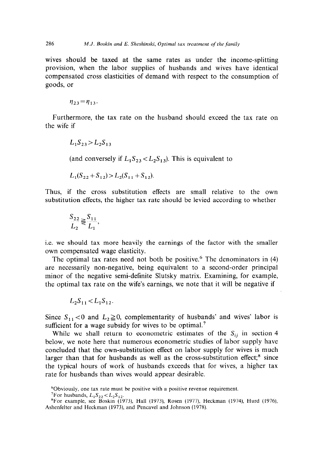wives should be taxed at the same rates as under the income-splitting provision, when the labor supplies of husbands and wives have identical compensated cross elasticities of demand with respect to the consumption of goods, or

 $\eta_{23} = \eta_{13}$ .

Furthermore, the tax rate on the husband should exceed the tax rate on the wife if

$$
L_1S_{23} > L_2S_{13}
$$

(and conversely if  $L_1S_{23} < L_2S_{13}$ ). This is equivalent to

$$
L_1(S_{22} + S_{12}) > L_2(S_{11} + S_{12}).
$$

Thus, if the cross substitution effects are small relative to the own substitution effects, the higher tax rate should be levied according to whether

$$
\frac{S_{22}}{L_2} \geqslant \frac{S_{11}}{L_1},
$$

i.e. we should tax more heavily the earnings of the factor with the smaller own compensated wage elasticity.

The optimal tax rates need not both be positive.<sup>6</sup> The denominators in  $(4)$ are necessarily non-negative, being equivalent to a second-order principal minor of the negative semi-definite Slutsky matrix. Examining, for example, the optimal tax rate on the wife's earnings, we note that it will be negative if

$$
L_2S_{11} < L_1S_{12}.
$$

Since  $S_{11}$  < 0 and  $L_2 \ge 0$ , complementarity of husbands' and wives' labor is sufficient for a wage subsidy for wives to be optimal.<sup>7</sup>

While we shall return to econometric estimates of the  $S_{ij}$  in section 4 below, we note here that numerous econometric studies of labor supply have concluded that the own-substitution effect on labor supply for wives is much larger than that for husbands as well as the cross-substitution effect; $<sup>8</sup>$  since</sup> the typical hours of work of husbands exceeds that for wives, a higher tax rate for husbands than wives would appear desirable.

<sup>&#</sup>x27;Obviously, one tax rate must be positive with a positive revenue requirement.

<sup>&</sup>lt;sup>7</sup>For husbands,  $L_1S_{22} < L_2S_{12}$ .

 ${}^{8}$ For example, see Boskin (1973), Hall (1973), Rosen (1977), Heckman (1974), Hurd (1976), Ashenfelter and Heckman (1973), and Pencavel and Johnson (1978).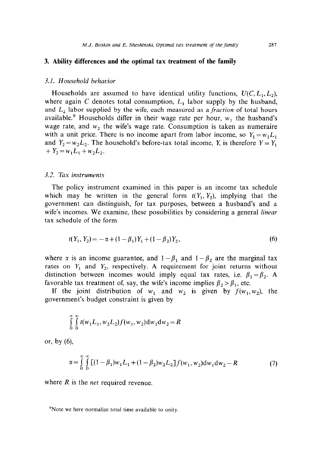## **3. Ability differences and the optimal tax treatment of the family**

## **3.1.** *Household behavior*

Households are assumed to have identical utility functions,  $U(C, L_1, L_2)$ , where again C denotes total consumption,  $L_1$  labor supply by the husband, and *L,* labor supplied by the wife, each measured as a *fraction* of total hours available.<sup>9</sup> Households differ in their wage rate per hour,  $w_1$  the husband's wage rate, and  $w_2$  the wife's wage rate. Consumption is taken as numeraire with a unit price. There is no income apart from labor income, so  $Y_1 = w_1 L_1$ and  $Y_2 = w_2 L_2$ . The household's before-tax total income, Y, is therefore  $Y = Y_1$  $+ Y_2 = w_1 L_1 + w_2 L_2.$ 

#### 3.2. *Tax instruments*

The policy instrument examined in this paper is an income tax schedule which may be written in the general form  $t(Y_1, Y_2)$ , implying that the government can distinguish, for tax purposes, between a husband's and a wife's incomes. We examine, these possibilities by considering a general *linear*  tax schedule of the form

$$
t(Y_1, Y_2) = -\alpha + (1 - \beta_1)Y_1 + (1 - \beta_2)Y_2, \tag{6}
$$

where  $\alpha$  is an income guarantee, and  $1 - \beta_1$  and  $1 - \beta_2$  are the marginal tax rates on  $Y_1$  and  $Y_2$ , respectively. A requirement for joint returns without distinction between incomes would imply equal tax rates, i.e.  $\beta_1 = \beta_2$ . A favorable tax treatment of, say, the wife's income implies  $\beta_2 > \beta_1$ , etc.

If the joint distribution of  $w_1$  and  $w_2$  is given by  $f(w_1, w_2)$ , the government's budget constraint is given by

$$
\int_{0}^{\infty} \int_{0}^{\infty} t(w_1 L_1, w_2 L_2) f(w_1, w_2) dw_1 dw_2 = R
$$

or, by  $(6)$ ,

$$
\alpha = \int_{0}^{\infty} \int_{0}^{\infty} \left[ (1 - \beta_1) w_1 L_1 + (1 - \beta_2) w_2 L_2 \right] f(w_1, w_2) dw_1 dw_2 - R \tag{7}
$$

where *R* is the *net* required revenue.

<sup>&#</sup>x27;Note we here normalize total time available to unity.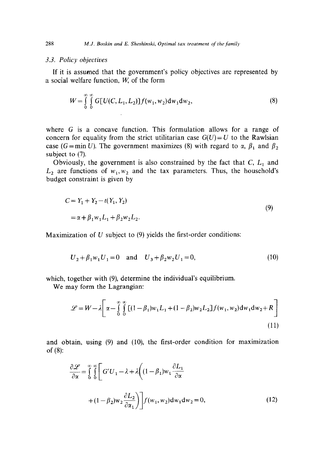#### *3.3. Policy objectives*

If it is assumed that the government's policy objectives are represented by a social welfare function,  $W$ , of the form

$$
W = \int_{0}^{\infty} \int_{0}^{\infty} G[U(C, L_1, L_2)] f(w_1, w_2) dw_1 dw_2,
$$
\n(8)

where G is a concave function. This formulation allows for a range of concern for equality from the strict utilitarian case  $G(U) = U$  to the Rawlsian case (G=min U). The government maximizes (8) with regard to  $\alpha$ ,  $\beta_1$  and  $\beta_2$ subject to (7).

Obviously, the government is also constrained by the fact that  $C$ ,  $L_1$  and  $L<sub>2</sub>$  are functions of  $w<sub>1</sub>, w<sub>2</sub>$  and the tax parameters. Thus, the household's budget constraint is given by

$$
C = Y_1 + Y_2 - t(Y_1, Y_2)
$$
  
=  $\alpha + \beta_1 w_1 L_1 + \beta_2 w_2 L_2$ . (9)

Maximization of  $U$  subject to  $(9)$  yields the first-order conditions:

$$
U_2 + \beta_1 w_1 U_1 = 0 \quad \text{and} \quad U_3 + \beta_2 w_2 U_1 = 0,\tag{10}
$$

which, together with (9), determine the individual's equilibrium.

We may form the Lagrangian:

$$
\mathcal{L} = W - \lambda \left[ \alpha - \int_{0}^{\infty} \int_{0}^{\infty} \left[ (1 - \beta_{1}) w_{1} L_{1} + (1 - \beta_{2}) w_{2} L_{2} \right] f(w_{1}, w_{2}) dw_{1} dw_{2} + R \right]
$$
\n(11)

and obtain, using  $(9)$  and  $(10)$ , the first-order condition for maximization of (8):

$$
\frac{\partial \mathcal{L}}{\partial \alpha} = \int_{0}^{\infty} \int_{0}^{\infty} \left[ G'U_{1} - \lambda + \lambda \left( (1 - \beta_{1}) w_{1} \frac{\partial L_{1}}{\partial \alpha} + (1 - \beta_{2}) w_{2} \frac{\partial L_{2}}{\partial \alpha_{1}} \right) \right] f(w_{1}, w_{2}) dw_{1} dw_{2} = 0,
$$
\n(12)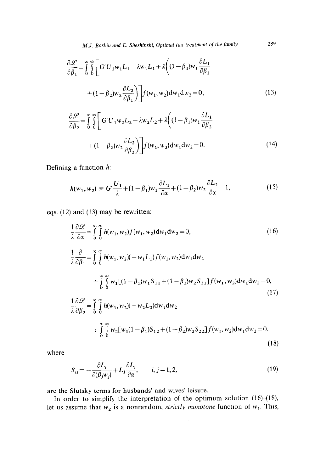*M.J. Boskin and E. Sheshinski, Optimal tax treatment of the family 289* 

$$
\frac{\partial \mathcal{L}}{\partial \beta_1} = \int_0^\infty \int_0^\infty \left[ G' U_1 w_1 L_1 - \lambda w_1 L_1 + \lambda \left( (1 - \beta_1) w_1 \frac{\partial L_1}{\partial \beta_1} + (1 - \beta_2) w_2 \frac{\partial L_2}{\partial \beta_1} \right) \right] f(w_1, w_2) dw_1 dw_2 = 0,
$$
\n(13)

$$
\frac{\partial \mathcal{L}}{\partial \beta_2} = \int_0^\infty \int_0^\infty \left[ G' U_1 w_2 L_2 - \lambda w_2 L_2 + \lambda \left( (1 - \beta_1) w_1 \frac{\partial L_1}{\partial \beta_2} + (1 - \beta_2) w_2 \frac{\partial L_2}{\partial \beta_2} \right) \right] f(w_1, w_2) dw_1 dw_2 = 0.
$$
\n(14)

Defining a function h:

$$
h(w_1, w_2) \equiv G' \frac{U_1}{\lambda} + (1 - \beta_1) w_1 \frac{\partial L_1}{\partial \alpha} + (1 - \beta_2) w_2 \frac{\partial L_2}{\partial \alpha} - 1,\tag{15}
$$

eqs. (12) and (13) may be rewritten:

$$
\frac{1}{\lambda} \frac{\partial \mathcal{L}}{\partial \alpha} = \int_{0}^{\infty} \int_{0}^{\infty} h(w_1, w_2) f(w_1, w_2) dw_1 dw_2 = 0,
$$
\n(16)

$$
\frac{1}{\lambda} \frac{\partial}{\partial \beta_1} = \int_0^\infty \int_0^\infty h(w_1, w_2)(-w_1 L_1) f(w_1, w_2) dw_1 dw_2 \n+ \int_0^\infty \int_0^\infty w_1 [(1 - \beta_1) w_1 S_{11} + (1 - \beta_2) w_2 S_{21}] f(w_1, w_2) dw_1 dw_2 = 0, \n\frac{1}{\lambda} \frac{\partial \mathcal{L}}{\partial \beta_2} = \int_0^\infty \int_0^\infty h(w_1, w_2)(-w_2 L_2) dw_1 dw_2
$$
\n(17)

$$
+\int_{0}^{\infty} \int_{0}^{\infty} w_{2}[w_{1}(1-\beta_{1})S_{12}+(1-\beta_{2})w_{2}S_{22}]f(w_{1},w_{2})dw_{1}dw_{2}=0,
$$
\n(18)

where

$$
S_{ij} = -\frac{\partial L_i}{\partial(\beta_j w_j)} + L_j \frac{\partial L_i}{\partial \alpha}, \qquad i, j = 1, 2,
$$
\n(19)

are the Slutsky terms for husbands' and wives' leisure.

In order to simplify the interpretation of the optimum solution (16)-(18), let us assume that  $w_2$  is a nonrandom, *strictly monotone* function of  $w_1$ . This,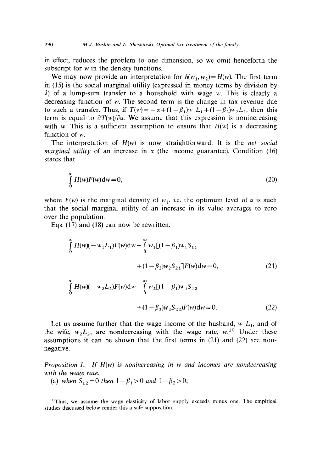in effect, reduces the problem to one dimension, so we omit henceforth the subscript for w in the density functions.

We may now provide an interpretation for  $h(w_1, w_2) = H(w)$ . The first term in (15) is the social marginal utility (expressed in money terms by division by  $\lambda$ ) of a lump-sum transfer to a household with wage w. This is clearly a decreasing function of w. The second term is the change in tax revenue due to such a transfer. Thus, if  $T(w) = -\alpha + (1 - \beta_1)w_1L_1 + (1 - \beta_2)w_2L_2$ , then this term is equal to  $\partial T(w)/\partial \alpha$ . We assume that this expression is nonincreasing with w. This is a sufficient assumption to ensure that  $H(w)$  is a decreasing function of w.

The interpretation of H(w) is now straightforward. It is the net *social marginal utility* of an increase in  $\alpha$  (the income guarantee). Condition (16) states that

$$
\int_{0}^{\infty} H(w)F(w)dw = 0,
$$
\n(20)

where  $F(w)$  is the marginal density of  $w_1$ , i.e. the optimum level of  $\alpha$  is such that the social marginal utility of an increase in its value averages to zero over the population.

Eqs. (17) and (18) can now be rewritten:

$$
\int_{0}^{\infty} H(w)(-w_1L_1)F(w)dw + \int_{0}^{\infty} w_1[(1-\beta_1)w_1S_{11} + (1-\beta_2)w_2S_{21}]F(w)dw = 0,
$$
\n(21)  
\n
$$
\int_{0}^{\infty} H(w)(-w_2L_2)F(w)dw + \int_{0}^{\infty} w_2[(1-\beta_1)w_1S_{12} + (1-\beta_2)w_2S_{22}]F(w)dw = 0.
$$
\n(22)

Let us assume further that the wage income of the husband,  $w_1L_1$ , and of the wife,  $w_2L_2$ , are nondecreasing with the wage rate, w.<sup>10</sup> Under these assumptions it can be shown that the first terms in (21) and (22) are nonnegative.

*Proposition 1. If H(w) is nonincreasing in w and incomes are nondecreasing with the wage rate,* 

(a) when  $S_{12} = 0$  then  $1 - \beta_1 > 0$  and  $1 - \beta_2 > 0$ ;

 $10$ Thus, we assume the wage elasticity of labor supply exceeds minus one. The empirical studies discussed below render this a safe supposition.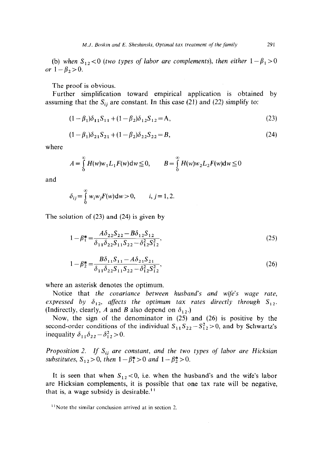(b) when  $S_{12}$  < 0 (two types of labor are complements), then either  $1 - \beta_1 > 0$ or  $1-\beta_2>0$ .

The proof is obvious.

Further simplification toward empirical application is obtained by assuming that the  $S_{ij}$  are constant. In this case (21) and (22) simplify to:

$$
(1 - \beta_1)\delta_{11}S_{11} + (1 - \beta_2)\delta_{12}S_{12} = A,
$$
\n(23)

$$
(1 - \beta_1)\delta_{21}S_{21} + (1 - \beta_2)\delta_{22}S_{22} = B,
$$
\n(24)

where

$$
A = \int_{0}^{\infty} H(w)w_1 L_1 F(w) dw \leq 0, \qquad B = \int_{0}^{\infty} H(w)w_2 L_2 F(w) dw \leq 0
$$

and

$$
\delta_{ij} = \int_{0}^{\infty} w_i w_j F(w) \, dw > 0, \qquad i, j = 1, 2.
$$

The solution of (23) and (24) is given by

$$
1 - \beta_1^* = \frac{A\delta_{22}S_{22} - B\delta_{12}S_{12}}{\delta_{11}\delta_{22}S_{11}S_{22} - \delta_{12}^2S_{12}^2},\tag{25}
$$

$$
1 - \beta_2^* = \frac{B\delta_{11}S_{11} - A\delta_{21}S_{21}}{\delta_{11}\delta_{22}S_{11}S_{22} - \delta_{12}^2S_{12}^2},
$$
\n(26)

where an asterisk denotes the optimum.

Notice that *the covariance between husband's and wife's wage rate*, *expressed by*  $\delta_{12}$ *, affects the optimum tax rates directly through*  $S_{12}$ . (Indirectly, clearly, *A* and *B* also depend on  $\delta_{12}$ .)

Now, the sign of the denominator in (25) and (26) is positive by the second-order conditions of the individual  $S_{11}S_{22}-S_{12}^2>0$ , and by Schwartz's inequality  $\delta_{11}\delta_{22}-\delta_{12}^2>0$ .

*Proposition 2. If Sij are constant, and the two types of labor are Hicksian substitutes,*  $S_{12} > 0$ *, then*  $1 - \beta_1^* > 0$  *and*  $1 - \beta_2^* > 0$ *.* 

It is seen that when  $S_{12}$  < 0, i.e. when the husband's and the wife's labor are Hicksian complements, it is possible that one tax rate will be negative, that is, a wage subsidy is desirable.<sup>11</sup>

 $11$  Note the similar conclusion arrived at in section 2.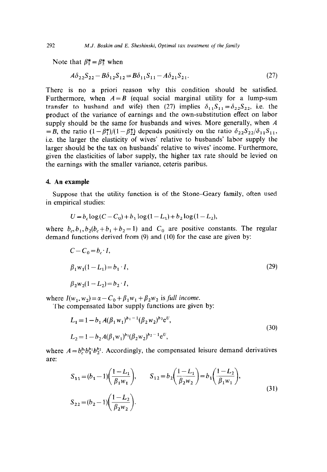Note that  $\beta_1^* = \beta_2^*$  when

$$
A\delta_{22}S_{22} - B\delta_{12}S_{12} = B\delta_{11}S_{11} - A\delta_{21}S_{21}.
$$
\n(27)

There is no a priori reason why this condition should be satisfied. Furthermore, when  $A = B$  (equal social marginal utility for a lump-sum transfer to husband and wife) then (27) implies  $\delta_{11}S_{11} = \delta_{22}S_{22}$ , i.e. the product of the variance of earnings and the own-substitution effect on labor supply should be the same for husbands and wives. More generally, when *A*   $=$  B, the ratio  $(1 - \beta_1^*)/(1 - \beta_2^*)$  depends positively on the ratio  $\delta_{22}S_{22}/\delta_{11}S_{11}$ , i.e. the larger the elasticity of wives' relative to husbands' labor supply the larger should be the tax on husbands' relative to wives' income. Furthermore, given the elasticities of labor supply, the higher tax rate should be levied on the earnings with the smaller variance, ceteris paribus.

## **4. An example**

Suppose that the utility function is of the Stone-Geary family, often used in empirical studies:

$$
U = b_c \log(C - C_0) + b_1 \log(1 - L_1) + b_2 \log(1 - L_2),
$$

where  $b_c, b_1, b_2 (b_c + b_1 + b_2 = 1)$  and  $C_0$  are positive constants. The regular demand functions derived from (9) and (10) for the case are given by:

$$
C - C_0 = b_c \cdot I,
$$
  
\n
$$
\beta_1 w_1 (1 - L_1) = b_1 \cdot I,
$$
  
\n
$$
\beta_2 w_2 (1 - L_2) = b_2 \cdot I,
$$
\n(29)

where  $I(w_1, w_2) = \alpha - C_0 + \beta_1 w_1 + \beta_2 w_2$  is *full income.* 

The compensated labor supply functions are given by:

$$
L_1 = 1 - b_1 A(\beta_1 w_1)^{b_1 - 1} (\beta_2 w_2)^{b_2} e^U,
$$
  
\n
$$
L_2 = 1 - b_2 A(\beta_1 w_1)^{b_1} (\beta_2 w_2)^{b_2 - 1} e^U,
$$
\n(30)

where  $A = b_c^b b_1^b b_2^b$ . Accordingly, the compensated leisure demand derivatives are:

$$
S_{11} = (b_1 - 1) \left( \frac{1 - L_1}{\beta_1 w_1} \right), \qquad S_{12} = b_2 \left( \frac{1 - L_1}{\beta_2 w_2} \right) = b_1 \left( \frac{1 - L_2}{\beta_1 w_1} \right),
$$
  
\n
$$
S_{22} = (b_2 - 1) \left( \frac{1 - L_2}{\beta_2 w_2} \right).
$$
\n(31)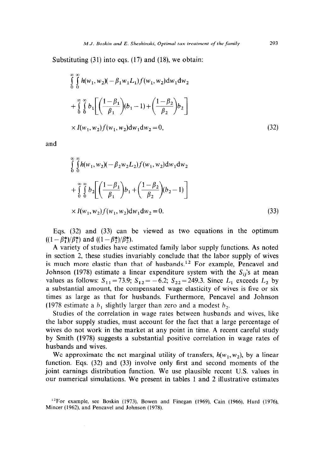Substituting (31) into eqs. (17) and (18), we obtain:

$$
\int_{0}^{\infty} \int_{0}^{\infty} h(w_1, w_2)(-\beta_1 w_1 L_1) f(w_1, w_2) dw_1 dw_2
$$
  
+ 
$$
\int_{0}^{\infty} \int_{0}^{\infty} b_1 \left[ \left( \frac{1 - \beta_1}{\beta_1} \right) (b_1 - 1) + \left( \frac{1 - \beta_2}{\beta_2} \right) b_2 \right]
$$
  
×  $I(w_1, w_2) f(w_1, w_2) dw_1 dw_2 = 0,$  (32)

and

$$
\int_{0}^{\infty} \int_{0}^{\infty} h(w_1, w_2)(-\beta_2 w_2 L_2) f(w_1, w_2) dw_1 dw_2
$$
  
+ 
$$
\int_{0}^{\infty} \int_{0}^{\infty} b_2 \left[ \left( \frac{1 - \beta_1}{\beta_1} \right) b_1 + \left( \frac{1 - \beta_2}{\beta_2} \right) (b_2 - 1) \right]
$$
  
×  $I(w_1, w_2) f(w_1, w_2) dw_1 dw_2 = 0.$  (33)

Eqs. (32) and (33) can be viewed as two equations in the optimum  $((1 - \beta_1^*)/\beta_1^*)$  and  $((1 - \beta_2^*)/\beta_2^*)$ .

A variety of studies have estimated family labor supply functions. As noted in section 2, these studies invariably conclude that the labor supply of wives is much more elastic than that of husbands.<sup>12</sup> For example, Pencavel and Johnson (1978) estimate a linear expenditure system with the  $S_{ij}$ 's at mean values as follows:  $S_{11} = 73.9$ ;  $S_{12} = -6.2$ ;  $S_{22} = 249.3$ . Since  $L_1$  exceeds  $L_2$  by a substantial amount, the compensated wage elasticity of wives is five or six times as large as that for husbands. Furthermore, Pencavel and Johnson (1978 estimate a  $b_1$  slightly larger than zero and a modest  $b_2$ .

Studies of the correlation in wage rates between husbands and wives, like the labor supply studies, must account for the fact that a large percentage of wives do not work in the market at any point in time. A recent careful study by Smith (1978) suggests a substantial positive correlation in wage rates of husbands and wives.

We approximate the net marginal utility of transfers,  $h(w_1, w_2)$ , by a linear function. Eqs. (32) and (33) involve only first and second moments of the joint earnings distribution function. We use plausible recent U.S. values in our numerical simulations. We present in tables 1 and 2 illustrative estimates

 $12$  For example, see Boskin (1973), Bowen and Finegan (1969), Cain (1966), Hurd (1976), Mincer (1962), and Pencavel and Johnson (1978).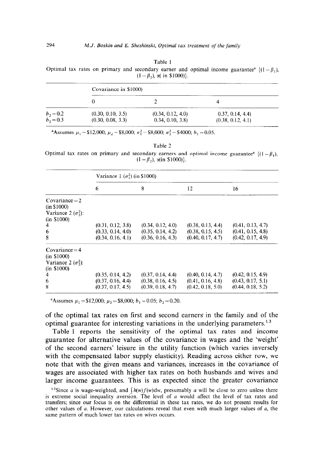Table 1

Optimal tax rates on primary and secondary earner and optimal income guarantee<sup>a</sup>  ${(1 - \beta_1)}$ ,  $(1 - \beta_2)$ ,  $\alpha$ ( in \$1000).

|                            |                                        | Covariance in \$1000)                |                                      |  |  |  |
|----------------------------|----------------------------------------|--------------------------------------|--------------------------------------|--|--|--|
|                            |                                        |                                      |                                      |  |  |  |
| $b_2 = 0.2$<br>$b_2 = 0.3$ | (0.30, 0.10, 3.5)<br>(0.30, 0.08, 3.3) | (0.34, 0.12, 4.0)<br>0.34, 0.10, 3.8 | 0.37, 0.14, 4.4<br>(0.38, 0.12, 4.1) |  |  |  |

"Assumes  $\mu_1 = $12,000; \mu_2 = $8,000; \sigma_1^2 = $8,000; \sigma_2^2 = $4000; \sigma_1 = 0.05.$ 

Table 2

Optimal tax rates on primary and secondary earners and optimal income guarantee<sup>3</sup>  $\{(1 - \beta_1),$  $(1 - \beta_2)$ , x(in \$1000).

|                                                                                              | Variance 1 ( $\sigma_1^2$ ) (in \$1000)                     |                                                             |                                                             |                                                             |  |
|----------------------------------------------------------------------------------------------|-------------------------------------------------------------|-------------------------------------------------------------|-------------------------------------------------------------|-------------------------------------------------------------|--|
|                                                                                              | 6                                                           | 8                                                           | 12                                                          | 16                                                          |  |
| $Covariance = 2$<br>(in \$1000)<br>Variance 2 $(\sigma_2^2)$ :<br>(in \$1000)<br>4<br>6<br>8 | (0.31, 0.12, 3.8)<br>(0.33, 0.14, 4.0)<br>(0.34, 0.16, 4.1) | (0.34, 0.12, 4.0)<br>(0.35, 0.14, 4.2)<br>(0.36, 0.16, 4.3) | (0.38, 0.13, 4.4)<br>(0.38, 0.15, 4.5)<br>(0.40, 0.17, 4.7) | (0.41, 0.13, 4.7)<br>(0.41, 0.15, 4.8)<br>(0.42, 0.17, 4.9) |  |
| $Covariance = 4$<br>(in \$1000)<br>Variance 2 $(\sigma_2^2)$ :<br>(in \$1000)<br>4<br>6<br>8 | (0.35, 0.14, 4.2)<br>(0.37, 0.16, 4.4)<br>(0.37, 0.17, 4.5) | (0.37, 0.14, 4.4)<br>(0.38, 0.16, 4.5)<br>(0.39, 0.18, 4.7) | (0.40, 0.14, 4.7)<br>(0.41, 0.16, 4.8)<br>(0.42, 0.18, 5.0) | (0.42, 0.15, 4.9)<br>(0.43, 0.17, 5.1)<br>(0.44, 0.18, 5.2) |  |

"Assumes  $\mu_1 = $12,000; \mu_2 = $8,000; \ b_1 = 0.05; \ b_2 = 0.20.$ 

of the optimal tax rates on first and second earners in the family and of the optimal guarantee for interesting variations in the underlying parameters.<sup>13</sup>

Table 1 reports the sensitivity of the optimal tax rates and income guarantee for alternative values of the covariance in wages and the 'weight' of the second earners' leisure in the utility function (which varies inversely with the compensated labor supply elasticity). Reading across either row, we note that with the given means and variances, increases in the covariance of wages are associated with higher tax rates on both husbands and wives and larger income guarantees. This is as expected since the greater covariance

<sup>&</sup>lt;sup>13</sup>Since *a* is wage-weighted, and  $\int h(w)f(w)dw$ , presumably *a* will be close to zero unless there is extreme social inequality aversion. The level of a would affect the level of tax rates and transfers; since our focus is on the differential in these tax rates, we do not present results for other values of  $a$ . However, our calculations reveal that even with much larger values of  $a$ , the same pattern of much lower tax rates on wives occurs.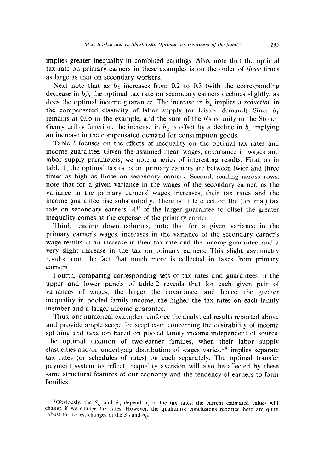implies greater inequality in combined earnings. Also, note that the optimal tax rate on primary earners in these examples is on the order of *three* times as large as that on secondary workers.

Next note that as  $b_2$  increases from 0.2 to 0.3 (with the corresponding decrease in  $b<sub>c</sub>$ ), the optimal tax rate on secondary earners declines slightly, as does the optimal income guarantee. The increase in *b,* implies a *reduction* in the compensated elasticity of labor supply (or leisure demand). Since *6,*  remains at 0.05 in the example, and the sum of the *b's* is unity in the Stone-Geary utility function, the increase in  $b_2$  is offset by a decline in  $b_c$  implying an increase in the compensated demand for consumption goods.

Table 2 focuses on the effects of inequality on the optimal tax rates and income guarantee. Given the assumed mean wages, covariance in wages and labor supply parameters, we note a series of interesting results. First, as in table 1, the optimal tax rates on primary earners are between twice and three times as high as those on secondary earners. Second, reading across rows, note that for a given variance in the wages of the secondary earner, as the variance in the primary earners' wages increases, their tax rates and the income guarantee rise substantially. There is little effect on the (optimal) tax rate on secondary earners. *All* of the larger guarantee to offset the greater inequality comes at the expense of the primary earner.

Third, reading down columns, note that for a given variance in the primary earner's wages, increases in the variance of the secondary earner's wage results in an increase in their tax rate and the income guarantee, and a very slight increase in the tax on primary earners. This slight asymmetry results from the fact that much more is collected in taxes from primary earners.

Fourth, comparing corresponding sets of tax rates and guarantees in the upper and lower panels of table 2 reveals that for each given pair of variances of wages, the larger the covariance, and hence, the greater inequality in pooled family income, the higher the tax rates on each family member and a larger income guarantee.

Thus, our numerical examples reinforce the analytical results reported above and provide ample scope for scepticism concerning the desirability of income splitting and taxation based on pooled family income independent of source. The optimal taxation of two-earner families, when their labor supply elasticities and/or underlying distribution of wages varies,<sup>14</sup> implies separate tax rates (or schedules of rates) on each separately. The optimal transfer payment system to reflect inequality aversion will also be affected by these same structural features of our economy and the tendency of earners to form families.

<sup>&</sup>quot;Obviously, the  $S_{ij}$  and  $\delta_{ij}$  depend upon the tax rates; the current estimated values will change if we change tax rates. However, the qualitative conclusions reported here are quite robust to modest changes in the  $S_{ii}$  and  $\delta_{ii}$ .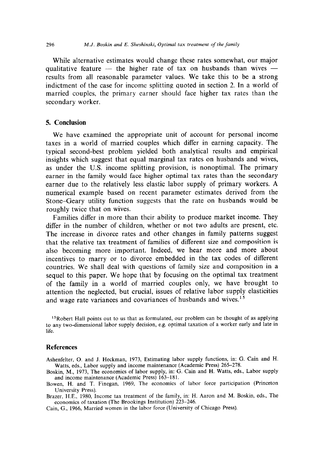While alternative estimates would change these rates somewhat, our major qualitative feature  $-$  the higher rate of tax on husbands than wives  $$ results from all reasonable parameter values. We take this to be a strong indictment of the case for income splitting quoted in section 2. In a world of married couples, the primary earner should face higher tax rates than the secondary worker.

## **5. Conclusion**

We have examined the appropriate unit of account for personal income taxes in a world of married couples which differ in earning capacity. The typical second-best problem yielded both analytical results and empirical insights which suggest that equal marginal tax rates on husbands and wives, as under the U.S. income splitting provision, is nonoptimal. The primary earner in the family would face higher optimal tax rates than the secondary earner due to the relatively less elastic labor supply of primary workers. A numerical example based on recent parameter estimates derived from the Stone-Geary utility function suggests that the rate on husbands would be roughly twice that on wives.

Families differ in more than their ability to produce market income. They differ in the number of children, whether or not two adults are present, etc. The increase in divorce rates and other changes in family patterns suggest that the relative tax treatment of families of different size and composition is also becoming more important. Indeed, we hear more and more about incentives to marry or to divorce embedded in the tax codes of different countries. We shall deal with questions of family size and composition in a sequel to this paper. We hope that by focusing on the optimal tax treatment of the family in a world of married couples only, we have brought to attention the neglected, but crucial, issues of relative labor supply elasticities and wage rate variances and covariances of husbands and wives.<sup>15</sup>

 $15Robert Hall points out to us that as formulated, our problem can be thought of as applying$ to any two-dimensional labor supply decision, e.g. optimal taxation of a worker early and late in life.

#### **References**

Ashenfelter, 0. and J. Heckman, 1973, Estimating labor supply functions, in: G. Cain and H. Watts, eds., Labor supply and income maintenance (Academic Press) 265-278.

Boskin, M., 1973, The economics of labor supply, in: G. Cain and H. Watts, eds., Labor supply and income maintenance (Academic Press) 163-181.

Bowen, H. and T. Finegan, 1969, The economics of labor force participation (Princeton University Press).

Brazer, H.E., 1980, Income tax treatment of the family, in: H. Aaron and M. Boskin, eds., The economics of taxation (The Brookings Institution) 223-246.

Cain, G., 1966, Married women in the labor force (University of Chicago Press).